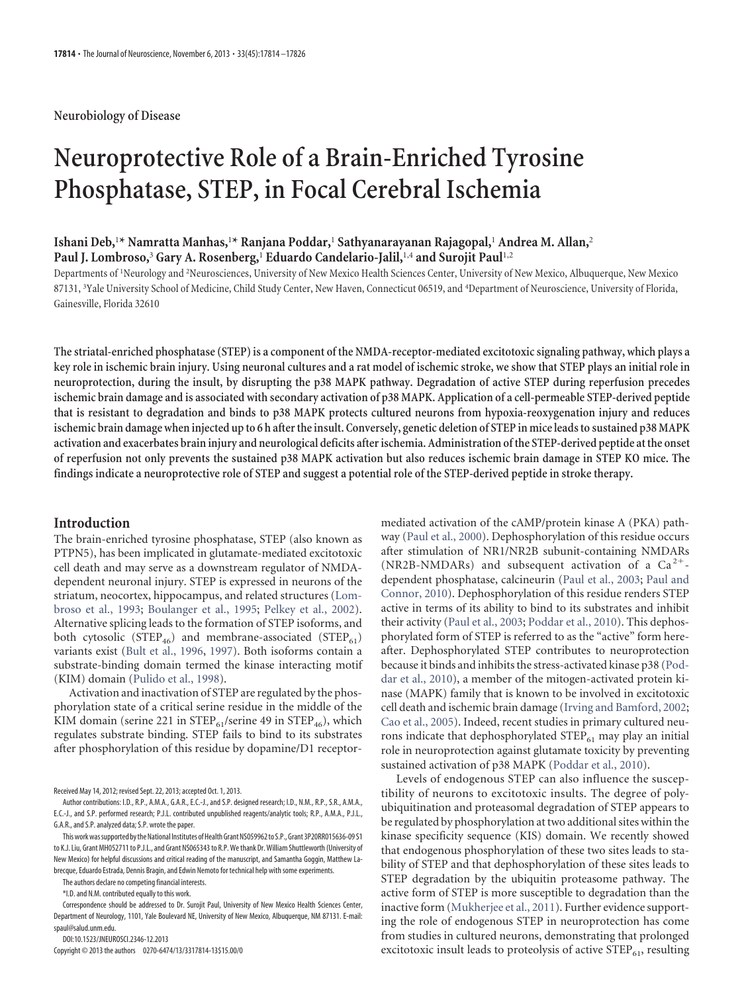### **Neurobiology of Disease**

# **Neuroprotective Role of a Brain-Enriched Tyrosine Phosphatase, STEP, in Focal Cerebral Ischemia**

## **Ishani Deb,**<sup>1</sup>**\* Namratta Manhas,**<sup>1</sup>**\* Ranjana Poddar,**<sup>1</sup> **Sathyanarayanan Rajagopal,**<sup>1</sup> **Andrea M. Allan,**<sup>2</sup> **Paul J. Lombroso,**<sup>3</sup> **Gary A. Rosenberg,**<sup>1</sup> **Eduardo Candelario-Jalil,**1,4 **and Surojit Paul**1,2

Departments of <sup>1</sup>Neurology and <sup>2</sup>Neurosciences, University of New Mexico Health Sciences Center, University of New Mexico, Albuquerque, New Mexico 87131, <sup>3</sup>Yale University School of Medicine, Child Study Center, New Haven, Connecticut 06519, and <sup>4</sup>Department of Neuroscience, University of Florida, Gainesville, Florida 32610

**The striatal-enriched phosphatase (STEP) is a component of the NMDA-receptor-mediated excitotoxic signaling pathway, which plays a key role in ischemic brain injury. Using neuronal cultures and a rat model of ischemic stroke, we show that STEP plays an initial role in neuroprotection, during the insult, by disrupting the p38 MAPK pathway. Degradation of active STEP during reperfusion precedes ischemic brain damage and is associated with secondary activation of p38 MAPK. Application of a cell-permeable STEP-derived peptide that is resistant to degradation and binds to p38 MAPK protects cultured neurons from hypoxia-reoxygenation injury and reduces ischemic brain damage when injected up to 6 h after the insult. Conversely, genetic deletion of STEP in mice leads to sustained p38 MAPK activation and exacerbates brain injury and neurological deficits after ischemia. Administration of the STEP-derived peptide at the onset of reperfusion not only prevents the sustained p38 MAPK activation but also reduces ischemic brain damage in STEP KO mice. The findings indicate a neuroprotective role of STEP and suggest a potential role of the STEP-derived peptide in stroke therapy.**

#### **Introduction**

The brain-enriched tyrosine phosphatase, STEP (also known as PTPN5), has been implicated in glutamate-mediated excitotoxic cell death and may serve as a downstream regulator of NMDAdependent neuronal injury. STEP is expressed in neurons of the striatum, neocortex, hippocampus, and related structures (Lombroso et al., 1993; Boulanger et al., 1995; Pelkey et al., 2002). Alternative splicing leads to the formation of STEP isoforms, and both cytosolic (STEP<sub>46</sub>) and membrane-associated (STEP<sub>61</sub>) variants exist (Bult et al., 1996, 1997). Both isoforms contain a substrate-binding domain termed the kinase interacting motif (KIM) domain (Pulido et al., 1998).

Activation and inactivation of STEP are regulated by the phosphorylation state of a critical serine residue in the middle of the KIM domain (serine 221 in  $\text{STEP}_{61}/\text{serine}$  49 in  $\text{STEP}_{46}$ ), which regulates substrate binding. STEP fails to bind to its substrates after phosphorylation of this residue by dopamine/D1 receptor-

Received May 14, 2012; revised Sept. 22, 2013; accepted Oct. 1, 2013.

The authors declare no competing financial interests.

\*I.D. and N.M. contributed equally to this work.

DOI:10.1523/JNEUROSCI.2346-12.2013

Copyright © 2013 the authors 0270-6474/13/3317814-13\$15.00/0

mediated activation of the cAMP/protein kinase A (PKA) pathway (Paul et al., 2000). Dephosphorylation of this residue occurs after stimulation of NR1/NR2B subunit-containing NMDARs (NR2B-NMDARs) and subsequent activation of a  $Ca^{2+}$ dependent phosphatase, calcineurin (Paul et al., 2003; Paul and Connor, 2010). Dephosphorylation of this residue renders STEP active in terms of its ability to bind to its substrates and inhibit their activity (Paul et al., 2003; Poddar et al., 2010). This dephosphorylated form of STEP is referred to as the "active" form hereafter. Dephosphorylated STEP contributes to neuroprotection because it binds and inhibits the stress-activated kinase p38 (Poddar et al., 2010), a member of the mitogen-activated protein kinase (MAPK) family that is known to be involved in excitotoxic cell death and ischemic brain damage (Irving and Bamford, 2002; Cao et al., 2005). Indeed, recent studies in primary cultured neurons indicate that dephosphorylated  $STEP_{61}$  may play an initial role in neuroprotection against glutamate toxicity by preventing sustained activation of p38 MAPK (Poddar et al., 2010).

Levels of endogenous STEP can also influence the susceptibility of neurons to excitotoxic insults. The degree of polyubiquitination and proteasomal degradation of STEP appears to be regulated by phosphorylation at two additional sites within the kinase specificity sequence (KIS) domain. We recently showed that endogenous phosphorylation of these two sites leads to stability of STEP and that dephosphorylation of these sites leads to STEP degradation by the ubiquitin proteasome pathway. The active form of STEP is more susceptible to degradation than the inactive form (Mukherjee et al., 2011). Further evidence supporting the role of endogenous STEP in neuroprotection has come from studies in cultured neurons, demonstrating that prolonged excitotoxic insult leads to proteolysis of active  $\text{STEP}_{61}$ , resulting

Author contributions: I.D., R.P., A.M.A., G.A.R., E.C.-J., and S.P. designed research; I.D., N.M., R.P., S.R., A.M.A., E.C.-J., and S.P. performed research; P.J.L. contributed unpublished reagents/analytic tools; R.P., A.M.A., P.J.L., G.A.R., and S.P. analyzed data; S.P. wrote the paper.

This work was supported by the National Institutes of Health Grant NS059962 to S.P., Grant 3P20RR015636-09 S1 to K.J. Liu, Grant MH052711 to P.J.L., and Grant NS065343 to R.P. We thank Dr. William Shuttleworth (University of New Mexico) for helpful discussions and critical reading of the manuscript, and Samantha Goggin, Matthew Labrecque, Eduardo Estrada, Dennis Bragin, and Edwin Nemoto for technical help with some experiments.

Correspondence should be addressed to Dr. Surojit Paul, University of New Mexico Health Sciences Center, Department of Neurology, 1101, Yale Boulevard NE, University of New Mexico, Albuquerque, NM 87131. E-mail: spaul@salud.unm.edu.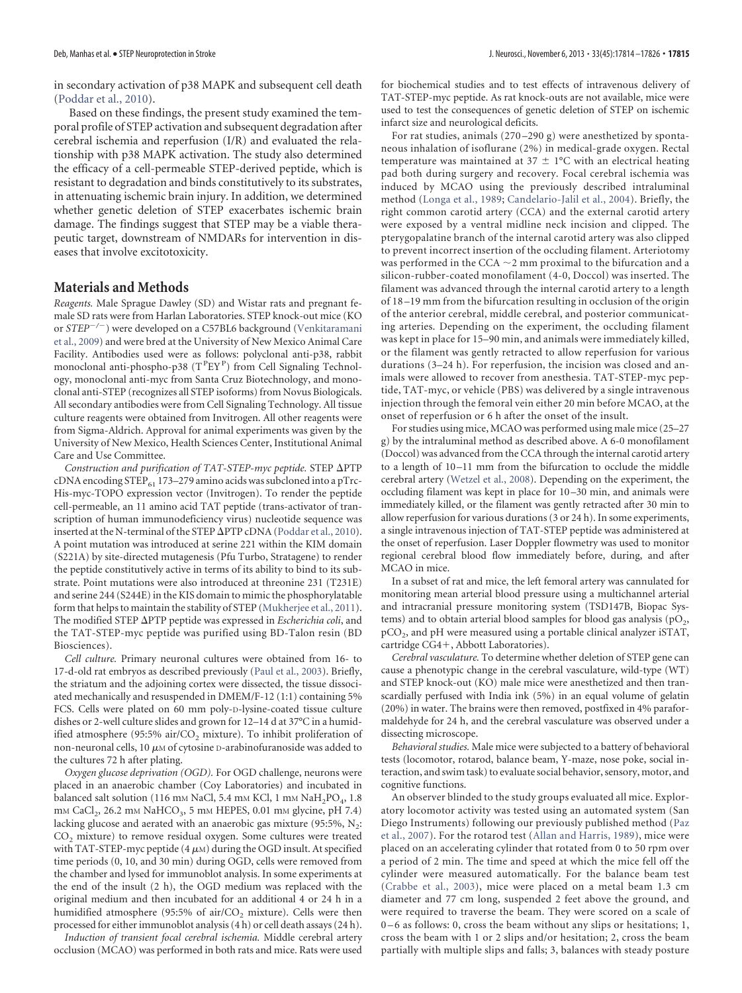in secondary activation of p38 MAPK and subsequent cell death (Poddar et al., 2010).

Based on these findings, the present study examined the temporal profile of STEP activation and subsequent degradation after cerebral ischemia and reperfusion (I/R) and evaluated the relationship with p38 MAPK activation. The study also determined the efficacy of a cell-permeable STEP-derived peptide, which is resistant to degradation and binds constitutively to its substrates, in attenuating ischemic brain injury. In addition, we determined whether genetic deletion of STEP exacerbates ischemic brain damage. The findings suggest that STEP may be a viable therapeutic target, downstream of NMDARs for intervention in diseases that involve excitotoxicity.

#### **Materials and Methods**

*Reagents.* Male Sprague Dawley (SD) and Wistar rats and pregnant female SD rats were from Harlan Laboratories. STEP knock-out mice (KO or *STEP/* ) were developed on a C57BL6 background (Venkitaramani et al., 2009) and were bred at the University of New Mexico Animal Care Facility. Antibodies used were as follows: polyclonal anti-p38, rabbit monoclonal anti-phospho-p38 (TPEYP) from Cell Signaling Technology, monoclonal anti-myc from Santa Cruz Biotechnology, and monoclonal anti-STEP (recognizes all STEP isoforms) from Novus Biologicals. All secondary antibodies were from Cell Signaling Technology. All tissue culture reagents were obtained from Invitrogen. All other reagents were from Sigma-Aldrich. Approval for animal experiments was given by the University of New Mexico, Health Sciences Center, Institutional Animal Care and Use Committee.

Construction and purification of TAT-STEP-myc peptide. STEP  $\Delta$ PTP cDNA encoding STEP $_{61}$  173–279 amino acids was subcloned into a pTrc-His-myc-TOPO expression vector (Invitrogen). To render the peptide cell-permeable, an 11 amino acid TAT peptide (trans-activator of transcription of human immunodeficiency virus) nucleotide sequence was inserted at the N-terminal of the STEP  $\Delta$ PTP cDNA (Poddar et al., 2010). A point mutation was introduced at serine 221 within the KIM domain (S221A) by site-directed mutagenesis (Pfu Turbo, Stratagene) to render the peptide constitutively active in terms of its ability to bind to its substrate. Point mutations were also introduced at threonine 231 (T231E) and serine 244 (S244E) in the KIS domain to mimic the phosphorylatable form that helps to maintain the stability of STEP (Mukherjee et al., 2011). The modified STEP  $\Delta$ PTP peptide was expressed in *Escherichia coli*, and the TAT-STEP-myc peptide was purified using BD-Talon resin (BD Biosciences).

*Cell culture.* Primary neuronal cultures were obtained from 16- to 17-d-old rat embryos as described previously (Paul et al., 2003). Briefly, the striatum and the adjoining cortex were dissected, the tissue dissociated mechanically and resuspended in DMEM/F-12 (1:1) containing 5% FCS. Cells were plated on 60 mm poly-D-lysine-coated tissue culture dishes or 2-well culture slides and grown for 12–14 d at 37°C in a humidified atmosphere (95:5% air/ $CO<sub>2</sub>$  mixture). To inhibit proliferation of non-neuronal cells, 10  $\mu$ M of cytosine D-arabinofuranoside was added to the cultures 72 h after plating.

*Oxygen glucose deprivation (OGD).* For OGD challenge, neurons were placed in an anaerobic chamber (Coy Laboratories) and incubated in balanced salt solution (116 mm NaCl, 5.4 mm KCl, 1 mm  $\text{NaH}_2\text{PO}_4$ , 1.8 mм CaCl<sub>2</sub>, 26.2 mм NaHCO<sub>3</sub>, 5 mм HEPES, 0.01 mм glycine, pH 7.4) lacking glucose and aerated with an anaerobic gas mixture (95:5%,  $\mathrm{N}_2$ :  $CO<sub>2</sub>$  mixture) to remove residual oxygen. Some cultures were treated with TAT-STEP-myc peptide (4  $\mu$ м) during the OGD insult. At specified time periods (0, 10, and 30 min) during OGD, cells were removed from the chamber and lysed for immunoblot analysis. In some experiments at the end of the insult (2 h), the OGD medium was replaced with the original medium and then incubated for an additional 4 or 24 h in a humidified atmosphere (95:5% of air/ $CO<sub>2</sub>$  mixture). Cells were then processed for either immunoblot analysis (4 h) or cell death assays (24 h).

*Induction of transient focal cerebral ischemia.* Middle cerebral artery occlusion (MCAO) was performed in both rats and mice. Rats were used for biochemical studies and to test effects of intravenous delivery of TAT-STEP-myc peptide. As rat knock-outs are not available, mice were used to test the consequences of genetic deletion of STEP on ischemic infarct size and neurological deficits.

For rat studies, animals (270 –290 g) were anesthetized by spontaneous inhalation of isoflurane (2%) in medical-grade oxygen. Rectal temperature was maintained at 37  $\pm$  1°C with an electrical heating pad both during surgery and recovery. Focal cerebral ischemia was induced by MCAO using the previously described intraluminal method (Longa et al., 1989; Candelario-Jalil et al., 2004). Briefly, the right common carotid artery (CCA) and the external carotid artery were exposed by a ventral midline neck incision and clipped. The pterygopalatine branch of the internal carotid artery was also clipped to prevent incorrect insertion of the occluding filament. Arteriotomy was performed in the CCA  $\sim$ 2 mm proximal to the bifurcation and a silicon-rubber-coated monofilament (4-0, Doccol) was inserted. The filament was advanced through the internal carotid artery to a length of 18 –19 mm from the bifurcation resulting in occlusion of the origin of the anterior cerebral, middle cerebral, and posterior communicating arteries. Depending on the experiment, the occluding filament was kept in place for 15–90 min, and animals were immediately killed, or the filament was gently retracted to allow reperfusion for various durations (3–24 h). For reperfusion, the incision was closed and animals were allowed to recover from anesthesia. TAT-STEP-myc peptide, TAT-myc, or vehicle (PBS) was delivered by a single intravenous injection through the femoral vein either 20 min before MCAO, at the onset of reperfusion or 6 h after the onset of the insult.

For studies using mice, MCAO was performed using male mice (25–27 g) by the intraluminal method as described above. A 6-0 monofilament (Doccol) was advanced from the CCA through the internal carotid artery to a length of 10-11 mm from the bifurcation to occlude the middle cerebral artery (Wetzel et al., 2008). Depending on the experiment, the occluding filament was kept in place for 10 –30 min, and animals were immediately killed, or the filament was gently retracted after 30 min to allow reperfusion for various durations (3 or 24 h). In some experiments, a single intravenous injection of TAT-STEP peptide was administered at the onset of reperfusion. Laser Doppler flowmetry was used to monitor regional cerebral blood flow immediately before, during, and after MCAO in mice.

In a subset of rat and mice, the left femoral artery was cannulated for monitoring mean arterial blood pressure using a multichannel arterial and intracranial pressure monitoring system (TSD147B, Biopac Systems) and to obtain arterial blood samples for blood gas analysis (pO<sub>2</sub>,  $\tt pCO_2$ , and  $\tt pH$  were measured using a portable clinical analyzer iSTAT, cartridge CG4-, Abbott Laboratories).

*Cerebral vasculature.* To determine whether deletion of STEP gene can cause a phenotypic change in the cerebral vasculature, wild-type (WT) and STEP knock-out (KO) male mice were anesthetized and then transcardially perfused with India ink (5%) in an equal volume of gelatin (20%) in water. The brains were then removed, postfixed in 4% paraformaldehyde for 24 h, and the cerebral vasculature was observed under a dissecting microscope.

*Behavioral studies.* Male mice were subjected to a battery of behavioral tests (locomotor, rotarod, balance beam, Y-maze, nose poke, social interaction, and swim task) to evaluate social behavior, sensory, motor, and cognitive functions.

An observer blinded to the study groups evaluated all mice. Exploratory locomotor activity was tested using an automated system (San Diego Instruments) following our previously published method (Paz et al., 2007). For the rotarod test (Allan and Harris, 1989), mice were placed on an accelerating cylinder that rotated from 0 to 50 rpm over a period of 2 min. The time and speed at which the mice fell off the cylinder were measured automatically. For the balance beam test (Crabbe et al., 2003), mice were placed on a metal beam 1.3 cm diameter and 77 cm long, suspended 2 feet above the ground, and were required to traverse the beam. They were scored on a scale of 0-6 as follows: 0, cross the beam without any slips or hesitations; 1, cross the beam with 1 or 2 slips and/or hesitation; 2, cross the beam partially with multiple slips and falls; 3, balances with steady posture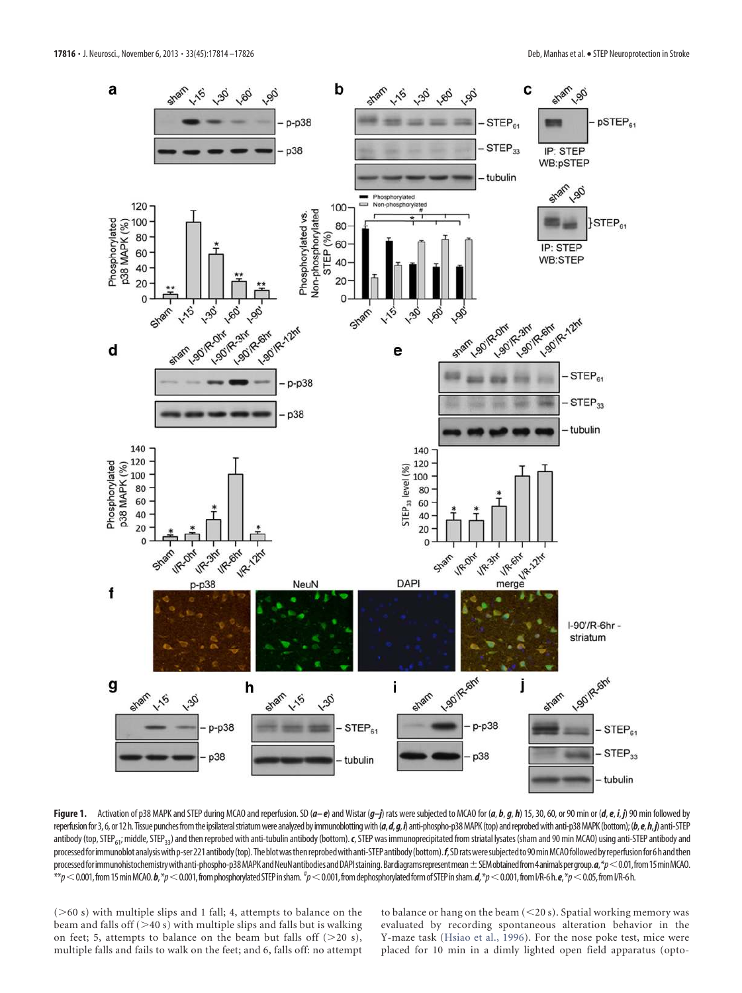

Figure 1. Activation of p38 MAPK and STEP during MCAO and reperfusion. SD ( $a-e$ ) and Wistar  $(g-j)$  rats were subjected to MCAO for (a, b, g, h) 15, 30, 60, or 90 min or (d, e, i, j) 90 min followed by reperfusion for 3, 6, or 12 h. Tissue punches from the ipsilateral striatum were analyzed by immunoblotting with (a, d, g, i) anti-phospho-p38 MAPK (top) and reprobed with anti-p38 MAPK (bottom); (b, e, h,j) anti-STEP antibody (top, STEP<sub>61</sub>; middle, STEP<sub>33</sub>) and then reprobed with anti-tubulin antibody (bottom). *c*, STEP was immunoprecipitated from striatal lysates (sham and 90 min MCAO) using anti-STEP antibody and processed for immunoblot analysis with p-ser 221 antibody (top). The blot was then reprobed with anti-STEP antibody (bottom). f, SD rats were subjected to 90 min MCAO followed by reperfusion for 6 h and then processed for immunohistochemistry with anti-phospho-p38 MAPK and NeuN antibodies and DAPI staining. Bardiagrams represent mean  $\pm$  SEM obtained from 4 animals per group.  $a$ ,\*p < 0.01, from 15 min MCAO. \*\*p  $<$  0.001, from 15 min MCAO. **b**,\*p  $<$  0.001, from phosphorylated STEP in sham.  $^{\#}$ p  $<$  0.001, from dephosphorylated form of STEP in sham. **d**,\*p  $<$  0.001, from I/R-6h. **e**,\*p  $<$  0.05, from I/R-6h.

 $($  >60 s) with multiple slips and 1 fall; 4, attempts to balance on the beam and falls off  $(>40 s)$  with multiple slips and falls but is walking on feet; 5, attempts to balance on the beam but falls off  $(>20 s)$ , multiple falls and fails to walk on the feet; and 6, falls off: no attempt to balance or hang on the beam  $(<$  20 s). Spatial working memory was evaluated by recording spontaneous alteration behavior in the Y-maze task (Hsiao et al., 1996). For the nose poke test, mice were placed for 10 min in a dimly lighted open field apparatus (opto-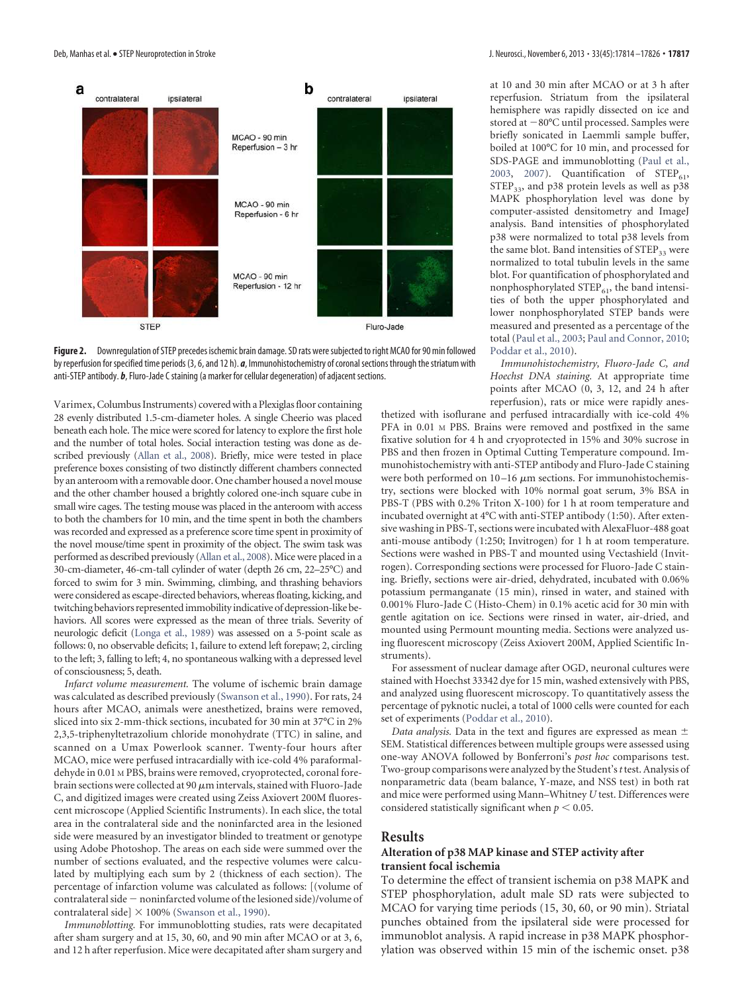

**Figure 2.** Downregulation of STEP precedes ischemic brain damage. SD rats were subjected to right MCAO for 90 min followed by reperfusion for specified time periods (3, 6, and 12 h). *a*, Immunohistochemistry of coronal sections through the striatum with anti-STEP antibody. *b*, Fluro-Jade C staining (a marker for cellular degeneration) of adjacent sections.

Varimex, Columbus Instruments) covered with a Plexiglas floor containing 28 evenly distributed 1.5-cm-diameter holes. A single Cheerio was placed beneath each hole. The mice were scored for latency to explore the first hole and the number of total holes. Social interaction testing was done as described previously (Allan et al., 2008). Briefly, mice were tested in place preference boxes consisting of two distinctly different chambers connected by an anteroom with a removable door. One chamber housed a novel mouse and the other chamber housed a brightly colored one-inch square cube in small wire cages. The testing mouse was placed in the anteroom with access to both the chambers for 10 min, and the time spent in both the chambers was recorded and expressed as a preference score time spent in proximity of the novel mouse/time spent in proximity of the object. The swim task was performed as described previously (Allan et al., 2008). Mice were placed in a 30-cm-diameter, 46-cm-tall cylinder of water (depth 26 cm, 22–25°C) and forced to swim for 3 min. Swimming, climbing, and thrashing behaviors were considered as escape-directed behaviors, whereas floating, kicking, and twitching behaviors represented immobility indicative of depression-like behaviors. All scores were expressed as the mean of three trials. Severity of neurologic deficit (Longa et al., 1989) was assessed on a 5-point scale as follows: 0, no observable deficits; 1, failure to extend left forepaw; 2, circling to the left; 3, falling to left; 4, no spontaneous walking with a depressed level of consciousness; 5, death.

*Infarct volume measurement.* The volume of ischemic brain damage was calculated as described previously (Swanson et al., 1990). For rats, 24 hours after MCAO, animals were anesthetized, brains were removed, sliced into six 2-mm-thick sections, incubated for 30 min at 37°C in 2% 2,3,5-triphenyltetrazolium chloride monohydrate (TTC) in saline, and scanned on a Umax Powerlook scanner. Twenty-four hours after MCAO, mice were perfused intracardially with ice-cold 4% paraformaldehyde in 0.01 M PBS, brains were removed, cryoprotected, coronal forebrain sections were collected at 90  $\mu$ m intervals, stained with Fluoro-Jade C, and digitized images were created using Zeiss Axiovert 200M fluorescent microscope (Applied Scientific Instruments). In each slice, the total area in the contralateral side and the noninfarcted area in the lesioned side were measured by an investigator blinded to treatment or genotype using Adobe Photoshop. The areas on each side were summed over the number of sections evaluated, and the respective volumes were calculated by multiplying each sum by 2 (thickness of each section). The percentage of infarction volume was calculated as follows: [(volume of contralateral side  $-$  noninfarcted volume of the lesioned side)/volume of contralateral side]  $\times$  100% (Swanson et al., 1990).

*Immunoblotting.* For immunoblotting studies, rats were decapitated after sham surgery and at 15, 30, 60, and 90 min after MCAO or at 3, 6, and 12 h after reperfusion. Mice were decapitated after sham surgery and at 10 and 30 min after MCAO or at 3 h after reperfusion. Striatum from the ipsilateral hemisphere was rapidly dissected on ice and stored at  $-80^{\circ}$ C until processed. Samples were briefly sonicated in Laemmli sample buffer, boiled at 100°C for 10 min, and processed for SDS-PAGE and immunoblotting (Paul et al., 2003, 2007). Quantification of  $STEP_{61}$ ,  $STEP_{33}$ , and p38 protein levels as well as p38 MAPK phosphorylation level was done by computer-assisted densitometry and ImageJ analysis. Band intensities of phosphorylated p38 were normalized to total p38 levels from the same blot. Band intensities of STEP<sub>33</sub> were normalized to total tubulin levels in the same blot. For quantification of phosphorylated and nonphosphorylated  $\text{STEP}_{61}$ , the band intensities of both the upper phosphorylated and lower nonphosphorylated STEP bands were measured and presented as a percentage of the total (Paul et al., 2003; Paul and Connor, 2010; Poddar et al., 2010).

*Immunohistochemistry, Fluoro-Jade C, and Hoechst DNA staining.* At appropriate time points after MCAO (0, 3, 12, and 24 h after reperfusion), rats or mice were rapidly anes-

thetized with isoflurane and perfused intracardially with ice-cold 4% PFA in 0.01  $\text{M}$  PBS. Brains were removed and postfixed in the same fixative solution for 4 h and cryoprotected in 15% and 30% sucrose in PBS and then frozen in Optimal Cutting Temperature compound. Immunohistochemistry with anti-STEP antibody and Fluro-Jade C staining were both performed on  $10-16 \ \mu m$  sections. For immunohistochemistry, sections were blocked with 10% normal goat serum, 3% BSA in PBS-T (PBS with 0.2% Triton X-100) for 1 h at room temperature and incubated overnight at 4°C with anti-STEP antibody (1:50). After extensive washing in PBS-T, sections were incubated with AlexaFluor-488 goat anti-mouse antibody (1:250; Invitrogen) for 1 h at room temperature. Sections were washed in PBS-T and mounted using Vectashield (Invitrogen). Corresponding sections were processed for Fluoro-Jade C staining. Briefly, sections were air-dried, dehydrated, incubated with 0.06% potassium permanganate (15 min), rinsed in water, and stained with 0.001% Fluro-Jade C (Histo-Chem) in 0.1% acetic acid for 30 min with gentle agitation on ice. Sections were rinsed in water, air-dried, and mounted using Permount mounting media. Sections were analyzed using fluorescent microscopy (Zeiss Axiovert 200M, Applied Scientific Instruments).

For assessment of nuclear damage after OGD, neuronal cultures were stained with Hoechst 33342 dye for 15 min, washed extensively with PBS, and analyzed using fluorescent microscopy. To quantitatively assess the percentage of pyknotic nuclei, a total of 1000 cells were counted for each set of experiments (Poddar et al., 2010).

*Data analysis.* Data in the text and figures are expressed as mean SEM. Statistical differences between multiple groups were assessed using one-way ANOVA followed by Bonferroni's *post hoc* comparisons test. Two-group comparisons were analyzed by the Student's*t*test. Analysis of nonparametric data (beam balance, Y-maze, and NSS test) in both rat and mice were performed using Mann–Whitney *U* test. Differences were considered statistically significant when  $p < 0.05$ .

#### **Results**

#### **Alteration of p38 MAP kinase and STEP activity after transient focal ischemia**

To determine the effect of transient ischemia on p38 MAPK and STEP phosphorylation, adult male SD rats were subjected to MCAO for varying time periods (15, 30, 60, or 90 min). Striatal punches obtained from the ipsilateral side were processed for immunoblot analysis. A rapid increase in p38 MAPK phosphorylation was observed within 15 min of the ischemic onset. p38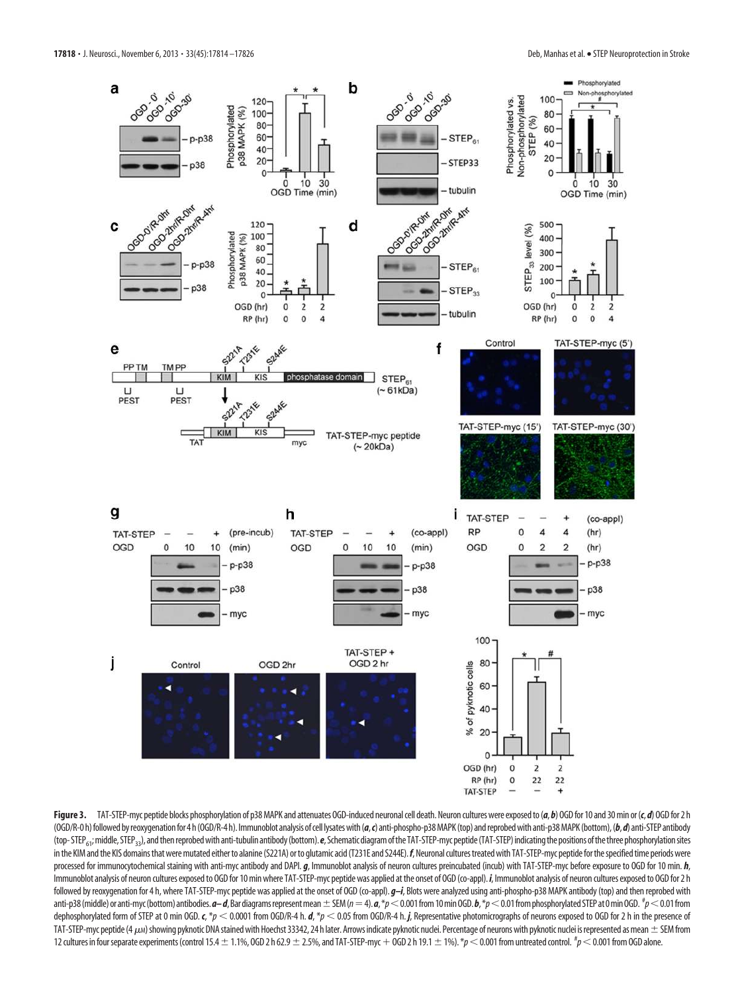

Figure 3. TAT-STEP-myc peptide blocks phosphorylation of p38 MAPK and attenuates OGD-induced neuronal cell death. Neuron cultures were exposed to (a, b) OGD for 10 and 30 min or (c, d) OGD fin 10 and 30 min or (c, d) OGD f (OGD/R-0 h) followed by reoxygenation for 4 h (OGD/R-4 h). Immunoblot analysis of cell lysates with (a, c) anti-phospho-p38 MAPK (top) and reprobed with anti-p38 MAPK (bottom), (b, d) anti-STEP antibody (top- STEP<sub>61</sub>; middle, STEP<sub>33</sub>), and then reprobed with anti-tubulin antibody (bottom). *e*, Schematic diagram of the TAT-STEP-myc peptide (TAT-STEP) indicating the positions of the three phosphorylation sites in the KIM and the KIS domains that were mutated either to alanine (S221A) or to glutamic acid (T231E and S244E).  $f$ , Neuronal cultures treated with TAT-STEP-myc peptide for the specified time periods were processed for immunocytochemical staining with anti-myc antibody and DAPI. *g*, Immunoblot analysis of neuron cultures preincubated (incub) with TAT-STEP-myc before exposure to OGD for 10 min. *h*, Immunoblot analysis of neuron cultures exposed to OGD for 10 min where TAT-STEP-myc peptide was applied at the onset of OGD (co-appl). *i*, Immunoblot analysis of neuron cultures exposed to OGD for 2 h followed by reoxygenation for 4 h, where TAT-STEP-myc peptide was applied at the onset of OGD (co-appl). *g–i*, Blots were analyzed using anti-phospho-p38 MAPK antibody (top) and then reprobed with anti-p38 (middle) or anti-myc (bottom) antibodies. *a–d*, Bar diagrams represent mean  $\pm$  SEM (*n* = 4). *a*, \*p $<$  0.001 from 10 min OGD. *b*, \*p $<$  0.01 from phosphorylated STEP at 0 min OGD. <sup>#</sup>p $<$  0.01 from dephosphorylated form of STEP at 0 min OGD.  $c$ , \*p  $\lt$  0.0001 from OGD/R-4 h. *d*, \*p  $\lt$  0.05 from OGD/R-4 h. *j*, Representative photomicrographs of neurons exposed to OGD for 2 h in the presence of TAT-STEP-myc peptide (4  $\mu$ м) showing pyknotic DNA stained with Hoechst 33342, 24 h later. Arrows indicate pyknotic nuclei. Percentage of neurons with pyknotic nuclei is represented as mean  $\pm$  SEM from 12 cultures in four separate experiments (control 15.4  $\pm$  1.1%, OGD 2 h 62.9  $\pm$  2.5%, and TAT-STEP-myc + OGD 2 h 19.1  $\pm$  1%).  $^*p$   $<$  0.001 from untreated control.  $^{\#}p$   $<$  0.001 from OGD alone.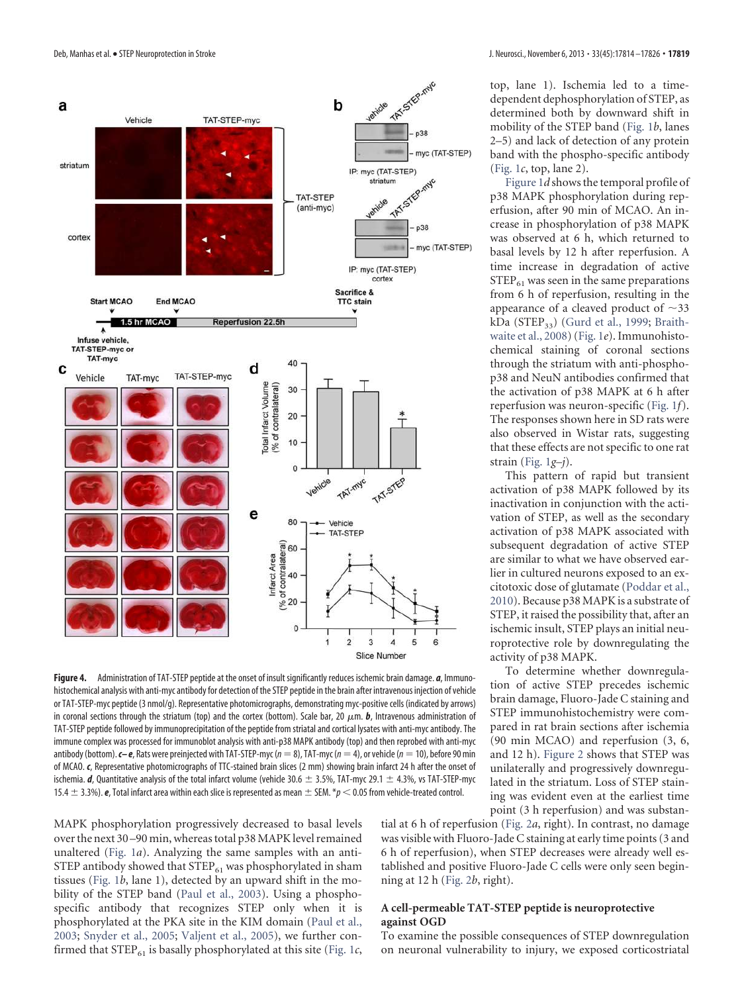

**Figure 4.** Administration of TAT-STEP peptide at the onset of insult significantly reduces ischemic brain damage. *a*, Immunohistochemical analysis with anti-myc antibody for detection of the STEP peptide in the brain after intravenous injection of vehicle or TAT-STEP-myc peptide (3 nmol/g). Representative photomicrographs, demonstrating myc-positive cells (indicated by arrows) in coronal sections through the striatum (top) and the cortex (bottom). Scale bar, 20  $\mu$ m.  $\bm{b}$ , Intravenous administration of TAT-STEP peptide followed by immunoprecipitation of the peptide from striatal and cortical lysates with anti-myc antibody. The immune complex was processed for immunoblot analysis with anti-p38 MAPK antibody (top) and then reprobed with anti-myc antibody (bottom). **c– e**, Rats were preinjected with TAT-STEP-myc ( $n = 8$ ), TAT-myc ( $n = 4$ ), or vehicle ( $n = 10$ ), before 90 min of MCAO. *c*, Representative photomicrographs of TTC-stained brain slices (2 mm) showing brain infarct 24 h after the onset of ischemia. *d*, Quantitative analysis of the total infarct volume (vehicle 30.6  $\pm$  3.5%, TAT-myc 29.1  $\pm$  4.3%, vs TAT-STEP-myc 15.4  $\pm$  3.3%). **e**, Total infarct area within each slice is represented as mean  $\pm$  SEM. \* $p < 0.05$  from vehicle-treated control.

top, lane 1). Ischemia led to a timedependent dephosphorylation of STEP, as determined both by downward shift in mobility of the STEP band (Fig. 1*b*, lanes 2–5) and lack of detection of any protein band with the phospho-specific antibody (Fig. 1*c*, top, lane 2).

Figure 1*d* shows the temporal profile of p38 MAPK phosphorylation during reperfusion, after 90 min of MCAO. An increase in phosphorylation of p38 MAPK was observed at 6 h, which returned to basal levels by 12 h after reperfusion. A time increase in degradation of active  $STEP_{61}$  was seen in the same preparations from 6 h of reperfusion, resulting in the appearance of a cleaved product of  $\sim$ 33 kDa ( $STEP_{33}$ ) (Gurd et al., 1999; Braithwaite et al., 2008) (Fig. 1*e*). Immunohistochemical staining of coronal sections through the striatum with anti-phosphop38 and NeuN antibodies confirmed that the activation of p38 MAPK at 6 h after reperfusion was neuron-specific (Fig. 1*f*). The responses shown here in SD rats were also observed in Wistar rats, suggesting that these effects are not specific to one rat strain (Fig. 1*g–j*).

This pattern of rapid but transient activation of p38 MAPK followed by its inactivation in conjunction with the activation of STEP, as well as the secondary activation of p38 MAPK associated with subsequent degradation of active STEP are similar to what we have observed earlier in cultured neurons exposed to an excitotoxic dose of glutamate (Poddar et al., 2010). Because p38 MAPK is a substrate of STEP, it raised the possibility that, after an ischemic insult, STEP plays an initial neuroprotective role by downregulating the activity of p38 MAPK.

To determine whether downregulation of active STEP precedes ischemic brain damage, Fluoro-Jade C staining and STEP immunohistochemistry were compared in rat brain sections after ischemia (90 min MCAO) and reperfusion (3, 6, and 12 h). Figure 2 shows that STEP was unilaterally and progressively downregulated in the striatum. Loss of STEP staining was evident even at the earliest time point (3 h reperfusion) and was substan-

MAPK phosphorylation progressively decreased to basal levels over the next 30 –90 min, whereas total p38 MAPK level remained unaltered (Fig. 1*a*). Analyzing the same samples with an anti-STEP antibody showed that  $\text{STEP}_{61}$  was phosphorylated in sham tissues (Fig. 1*b*, lane 1), detected by an upward shift in the mobility of the STEP band (Paul et al., 2003). Using a phosphospecific antibody that recognizes STEP only when it is phosphorylated at the PKA site in the KIM domain (Paul et al., 2003; Snyder et al., 2005; Valjent et al., 2005), we further confirmed that  $STEP_{61}$  is basally phosphorylated at this site (Fig. 1 $c$ ,

tial at 6 h of reperfusion (Fig. 2*a*, right). In contrast, no damage was visible with Fluoro-Jade C staining at early time points (3 and 6 h of reperfusion), when STEP decreases were already well established and positive Fluoro-Jade C cells were only seen beginning at 12 h (Fig. 2*b*, right).

#### **A cell-permeable TAT-STEP peptide is neuroprotective against OGD**

To examine the possible consequences of STEP downregulation on neuronal vulnerability to injury, we exposed corticostriatal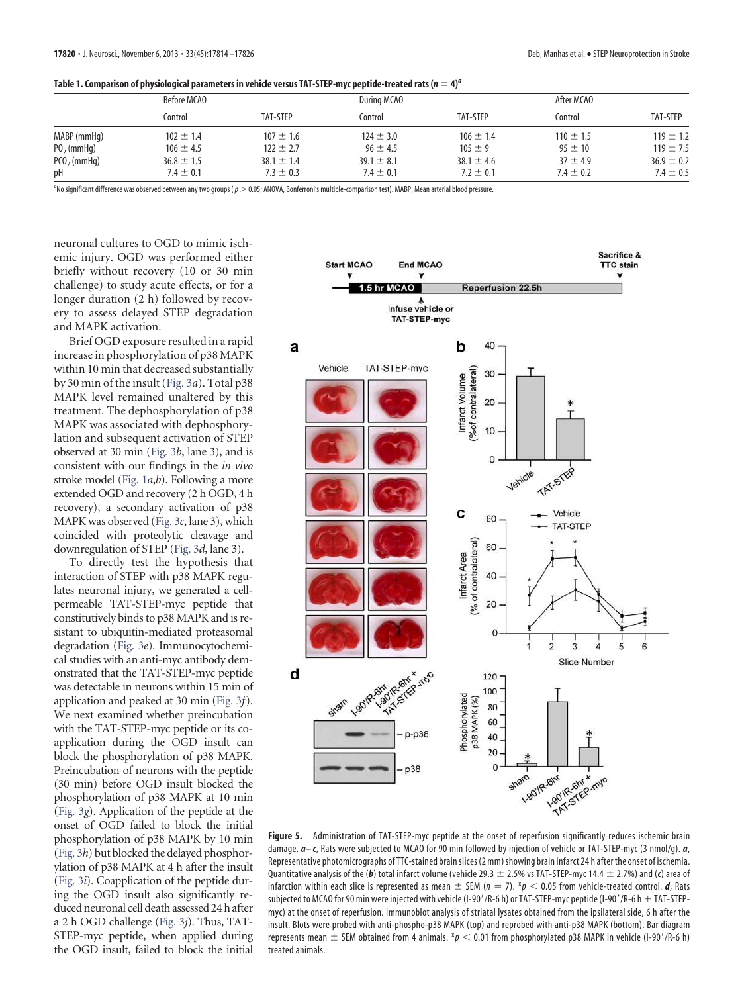#### Table 1. Comparison of physiological parameters in vehicle versus TAT-STEP-myc peptide-treated rats ( $n = 4)^a$

|               | Before MCAO    |                | During MCAO    |                | After MCAO    |                |
|---------------|----------------|----------------|----------------|----------------|---------------|----------------|
|               | Control        | TAT-STEP       | Control        | TAT-STEP       | Control       | TAT-STEP       |
| MABP (mmHq)   | $102 \pm 1.4$  | $107 \pm 1.6$  | $124 \pm 3.0$  | $106 \pm 1.4$  | $110 \pm 1.5$ | $119 \pm 1.2$  |
| $P02$ (mmHq)  | $106 \pm 4.5$  | $122 \pm 2.7$  | $96 \pm 4.5$   | $105 \pm 9$    | $95 \pm 10$   | $119 \pm 7.5$  |
| $PCO2$ (mmHg) | $36.8 \pm 1.5$ | $38.1 \pm 1.4$ | $39.1 \pm 8.1$ | $38.1 \pm 4.6$ | $37 \pm 4.9$  | $36.9 \pm 0.2$ |
| рH            | $7.4 \pm 0.1$  | $7.3 \pm 0.3$  | $7.4 \pm 0.1$  | $7.2 \pm 0.1$  | $7.4 \pm 0.2$ | 7.4 $\pm$ 0.5  |

a No significant difference was observed between any two groups (p 0.05; ANOVA, Bonferroni's multiple-comparison test). MABP, Mean arterial blood pressure.

neuronal cultures to OGD to mimic ischemic injury. OGD was performed either briefly without recovery (10 or 30 min challenge) to study acute effects, or for a longer duration (2 h) followed by recovery to assess delayed STEP degradation and MAPK activation.

Brief OGD exposure resulted in a rapid increase in phosphorylation of p38 MAPK within 10 min that decreased substantially by 30 min of the insult (Fig. 3*a*). Total p38 MAPK level remained unaltered by this treatment. The dephosphorylation of p38 MAPK was associated with dephosphorylation and subsequent activation of STEP observed at 30 min (Fig. 3*b*, lane 3), and is consistent with our findings in the *in vivo* stroke model (Fig. 1*a*,*b*). Following a more extended OGD and recovery (2 h OGD, 4 h recovery), a secondary activation of p38 MAPK was observed (Fig. 3*c*, lane 3), which coincided with proteolytic cleavage and downregulation of STEP (Fig. 3*d*, lane 3).

To directly test the hypothesis that interaction of STEP with p38 MAPK regulates neuronal injury, we generated a cellpermeable TAT-STEP-myc peptide that constitutively binds to p38 MAPK and is resistant to ubiquitin-mediated proteasomal degradation (Fig. 3*e*). Immunocytochemical studies with an anti-myc antibody demonstrated that the TAT-STEP-myc peptide was detectable in neurons within 15 min of application and peaked at 30 min (Fig. 3*f*). We next examined whether preincubation with the TAT-STEP-myc peptide or its coapplication during the OGD insult can block the phosphorylation of p38 MAPK. Preincubation of neurons with the peptide (30 min) before OGD insult blocked the phosphorylation of p38 MAPK at 10 min (Fig. 3*g*). Application of the peptide at the onset of OGD failed to block the initial phosphorylation of p38 MAPK by 10 min (Fig. 3*h*) but blocked the delayed phosphorylation of p38 MAPK at 4 h after the insult (Fig. 3*i*). Coapplication of the peptide during the OGD insult also significantly reduced neuronal cell death assessed 24 h after a 2 h OGD challenge (Fig. 3*j*). Thus, TAT-STEP-myc peptide, when applied during the OGD insult, failed to block the initial



**Figure 5.** Administration of TAT-STEP-myc peptide at the onset of reperfusion significantly reduces ischemic brain damage. *a– c*, Rats were subjected to MCAO for 90 min followed by injection of vehicle or TAT-STEP-myc (3 nmol/g). *a*, Representative photomicrographs of TTC-stained brain slices (2 mm) showing brain infarct 24 h after the onset of ischemia. Quantitative analysis of the (b) total infarct volume (vehicle 29.3  $\pm$  2.5% vs TAT-STEP-myc 14.4  $\pm$  2.7%) and (c) area of infarction within each slice is represented as mean  $\pm$  SEM ( $n=7$ ).  $^*p <$  0.05 from vehicle-treated control. **d**, Rats subjected to MCAO for 90 min were injected with vehicle (I-90'/R-6 h) or TAT-STEP-myc peptide (I-90'/R-6 h  $+$  TAT-STEPmyc) at the onset of reperfusion. Immunoblot analysis of striatal lysates obtained from the ipsilateral side, 6 h after the insult. Blots were probed with anti-phospho-p38 MAPK (top) and reprobed with anti-p38 MAPK (bottom). Bar diagram represents mean  $\pm$  SEM obtained from 4 animals. \*p  $<$  0.01 from phosphorylated p38 MAPK in vehicle (I-90'/R-6 h) treated animals.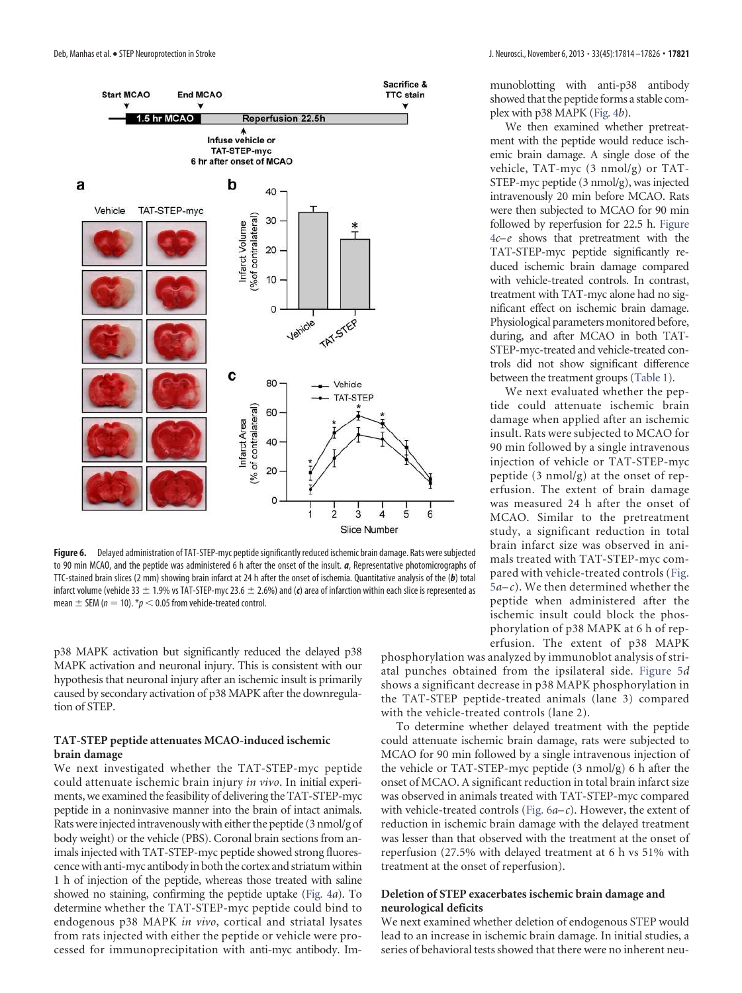

**Figure 6.** Delayed administration of TAT-STEP-myc peptide significantly reduced ischemic brain damage. Rats were subjected to 90 min MCAO, and the peptide was administered 6 h after the onset of the insult. *a*, Representative photomicrographs of TTC-stained brain slices (2 mm) showing brain infarct at 24 h after the onset of ischemia. Quantitative analysis of the (*b*) total infarct volume (vehicle 33  $\pm$  1.9% vs TAT-STEP-myc 23.6  $\pm$  2.6%) and (c) area of infarction within each slice is represented as mean  $\pm$  SEM ( $n = 10$ ).  $^{*}p < 0.05$  from vehicle-treated control.

p38 MAPK activation but significantly reduced the delayed p38 MAPK activation and neuronal injury. This is consistent with our hypothesis that neuronal injury after an ischemic insult is primarily caused by secondary activation of p38 MAPK after the downregulation of STEP.

#### **TAT-STEP peptide attenuates MCAO-induced ischemic brain damage**

We next investigated whether the TAT-STEP-myc peptide could attenuate ischemic brain injury *in vivo*. In initial experiments, we examined the feasibility of delivering the TAT-STEP-myc peptide in a noninvasive manner into the brain of intact animals. Rats were injected intravenously with either the peptide (3 nmol/g of body weight) or the vehicle (PBS). Coronal brain sections from animals injected with TAT-STEP-myc peptide showed strong fluorescence with anti-myc antibody in both the cortex and striatum within 1 h of injection of the peptide, whereas those treated with saline showed no staining, confirming the peptide uptake (Fig. 4*a*). To determine whether the TAT-STEP-myc peptide could bind to endogenous p38 MAPK *in vivo*, cortical and striatal lysates from rats injected with either the peptide or vehicle were processed for immunoprecipitation with anti-myc antibody. Immunoblotting with anti-p38 antibody showed that the peptide forms a stable complex with p38 MAPK (Fig. 4*b*).

We then examined whether pretreatment with the peptide would reduce ischemic brain damage. A single dose of the vehicle, TAT-myc (3 nmol/g) or TAT-STEP-myc peptide (3 nmol/g), was injected intravenously 20 min before MCAO. Rats were then subjected to MCAO for 90 min followed by reperfusion for 22.5 h. Figure 4*c–e* shows that pretreatment with the TAT-STEP-myc peptide significantly reduced ischemic brain damage compared with vehicle-treated controls. In contrast, treatment with TAT-myc alone had no significant effect on ischemic brain damage. Physiological parameters monitored before, during, and after MCAO in both TAT-STEP-myc-treated and vehicle-treated controls did not show significant difference between the treatment groups (Table 1).

We next evaluated whether the peptide could attenuate ischemic brain damage when applied after an ischemic insult. Rats were subjected to MCAO for 90 min followed by a single intravenous injection of vehicle or TAT-STEP-myc peptide (3 nmol/g) at the onset of reperfusion. The extent of brain damage was measured 24 h after the onset of MCAO. Similar to the pretreatment study, a significant reduction in total brain infarct size was observed in animals treated with TAT-STEP-myc compared with vehicle-treated controls (Fig.  $5a-c$ ). We then determined whether the peptide when administered after the ischemic insult could block the phosphorylation of p38 MAPK at 6 h of reperfusion. The extent of p38 MAPK

phosphorylation was analyzed by immunoblot analysis of striatal punches obtained from the ipsilateral side. Figure 5*d* shows a significant decrease in p38 MAPK phosphorylation in the TAT-STEP peptide-treated animals (lane 3) compared with the vehicle-treated controls (lane 2).

To determine whether delayed treatment with the peptide could attenuate ischemic brain damage, rats were subjected to MCAO for 90 min followed by a single intravenous injection of the vehicle or TAT-STEP-myc peptide (3 nmol/g) 6 h after the onset of MCAO. A significant reduction in total brain infarct size was observed in animals treated with TAT-STEP-myc compared with vehicle-treated controls (Fig. 6*a– c*). However, the extent of reduction in ischemic brain damage with the delayed treatment was lesser than that observed with the treatment at the onset of reperfusion (27.5% with delayed treatment at 6 h vs 51% with treatment at the onset of reperfusion).

#### **Deletion of STEP exacerbates ischemic brain damage and neurological deficits**

We next examined whether deletion of endogenous STEP would lead to an increase in ischemic brain damage. In initial studies, a series of behavioral tests showed that there were no inherent neu-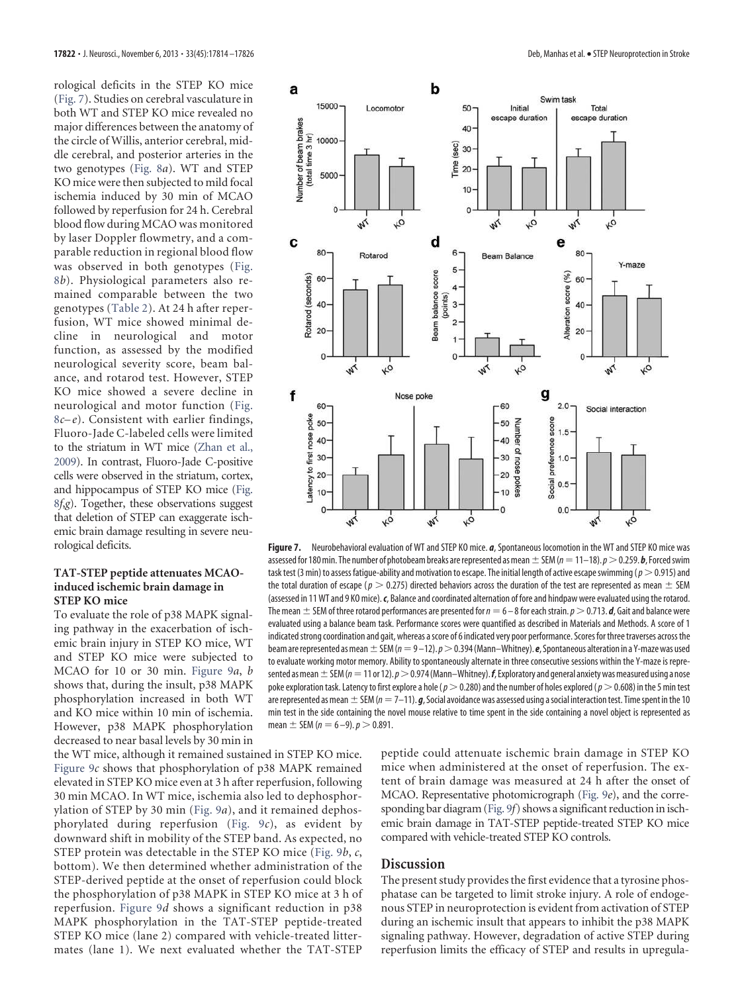rological deficits in the STEP KO mice (Fig. 7). Studies on cerebral vasculature in both WT and STEP KO mice revealed no major differences between the anatomy of the circle of Willis, anterior cerebral, middle cerebral, and posterior arteries in the two genotypes (Fig. 8*a*). WT and STEP KO mice were then subjected to mild focal ischemia induced by 30 min of MCAO followed by reperfusion for 24 h. Cerebral blood flow during MCAO was monitored by laser Doppler flowmetry, and a comparable reduction in regional blood flow was observed in both genotypes (Fig. 8*b*). Physiological parameters also remained comparable between the two genotypes (Table 2). At 24 h after reperfusion, WT mice showed minimal decline in neurological and motor function, as assessed by the modified neurological severity score, beam balance, and rotarod test. However, STEP KO mice showed a severe decline in neurological and motor function (Fig. 8*c– e*). Consistent with earlier findings, Fluoro-Jade C-labeled cells were limited to the striatum in WT mice (Zhan et al., 2009). In contrast, Fluoro-Jade C-positive cells were observed in the striatum, cortex, and hippocampus of STEP KO mice (Fig. 8*f*,*g*). Together, these observations suggest that deletion of STEP can exaggerate ischemic brain damage resulting in severe neurological deficits.

#### **TAT-STEP peptide attenuates MCAOinduced ischemic brain damage in STEP KO mice**

To evaluate the role of p38 MAPK signaling pathway in the exacerbation of ischemic brain injury in STEP KO mice, WT and STEP KO mice were subjected to MCAO for 10 or 30 min. Figure 9*a*, *b* shows that, during the insult, p38 MAPK phosphorylation increased in both WT and KO mice within 10 min of ischemia. However, p38 MAPK phosphorylation decreased to near basal levels by 30 min in

the WT mice, although it remained sustained in STEP KO mice. Figure 9*c* shows that phosphorylation of p38 MAPK remained elevated in STEP KO mice even at 3 h after reperfusion, following 30 min MCAO. In WT mice, ischemia also led to dephosphorylation of STEP by 30 min (Fig. 9*a*), and it remained dephosphorylated during reperfusion (Fig. 9*c*), as evident by downward shift in mobility of the STEP band. As expected, no STEP protein was detectable in the STEP KO mice (Fig. 9*b*, *c*, bottom). We then determined whether administration of the STEP-derived peptide at the onset of reperfusion could block the phosphorylation of p38 MAPK in STEP KO mice at 3 h of reperfusion. Figure 9*d* shows a significant reduction in p38 MAPK phosphorylation in the TAT-STEP peptide-treated STEP KO mice (lane 2) compared with vehicle-treated littermates (lane 1). We next evaluated whether the TAT-STEP



**Figure 7.** Neurobehavioral evaluation of WT and STEP KO mice. *a*, Spontaneous locomotion in the WT and STEP KO mice was assessed for 180 min. The number of photobeam breaks are represented as mean  $\pm$  SEM ( $n=$  11–18).  $p$   $>$  0.259. **b**, Forced swim task test (3 min) to assess fatigue-ability and motivation to escape. The initial length of active escape swimming ( $p>0.915$ ) and the total duration of escape ( $p > 0.275$ ) directed behaviors across the duration of the test are represented as mean  $\pm$  SEM (assessed in 11 WT and 9 KO mice).*c*, Balance and coordinated alternation of fore and hindpaw were evaluated using the rotarod. The mean  $\pm$  SEM of three rotarod performances are presented for  $n=6-8$  for each strain.  $p$   $>$  0.713. *d*, Gait and balance were evaluated using a balance beam task. Performance scores were quantified as described in Materials and Methods. A score of 1 indicated strong coordination and gait, whereas a score of 6 indicated very poor performance. Scores for three traverses across the beam are represented as mean  $\pm$  SEM (*n*  $=$  9–12). *p*  $>$  0.394 (Mann–Whitney). *e, Spontaneous alteration in a Y-maze was used* to evaluate working motor memory. Ability to spontaneously alternate in three consecutive sessions within the Y-maze is represented as mean  $\pm$  SEM ( $n=$  11 or 12).  $\rho$   $>$  0.974 (Mann–Whitney).  $\bm{f}$ , Exploratory and general anxiety was measured using a nose poke exploration task. Latency to first explore a hole ( $p>0.280$ ) and the number of holes explored ( $p>0.608$ ) in the 5 min test are represented as mean  $\pm$  SEM ( $n=$  7–11).  $\bm{g}$ , Social avoidance was assessed using a social interaction test. Time spent in the 10 min test in the side containing the novel mouse relative to time spent in the side containing a novel object is represented as mean  $\pm$  SEM ( $n = 6 - 9$ ).  $p > 0.891$ .

peptide could attenuate ischemic brain damage in STEP KO mice when administered at the onset of reperfusion. The extent of brain damage was measured at 24 h after the onset of MCAO. Representative photomicrograph (Fig. 9*e*), and the corresponding bar diagram (Fig. 9*f*) shows a significant reduction in ischemic brain damage in TAT-STEP peptide-treated STEP KO mice compared with vehicle-treated STEP KO controls.

#### **Discussion**

The present study provides the first evidence that a tyrosine phosphatase can be targeted to limit stroke injury. A role of endogenous STEP in neuroprotection is evident from activation of STEP during an ischemic insult that appears to inhibit the p38 MAPK signaling pathway. However, degradation of active STEP during reperfusion limits the efficacy of STEP and results in upregula-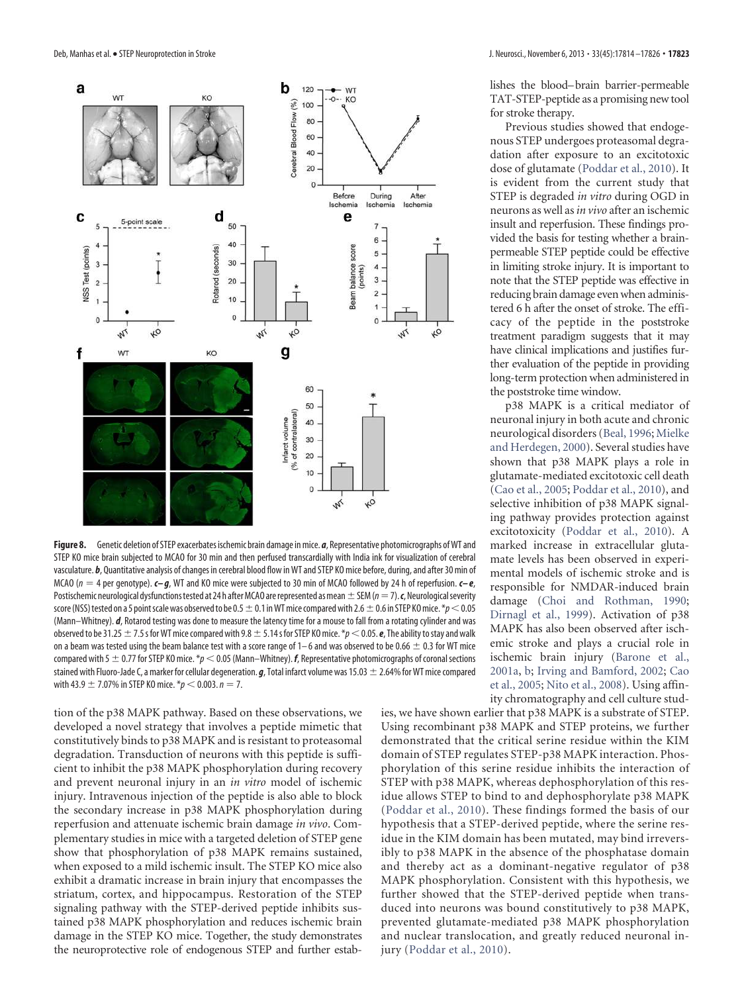

**Figure 8.** Genetic deletion of STEP exacerbates ischemic brain damage in mice. *a*, Representative photomicrographs of WT and STEP KO mice brain subjected to MCAO for 30 min and then perfused transcardially with India ink for visualization of cerebral vasculature. *b*, Quantitative analysis of changes in cerebral blood flow in WT and STEP KO mice before, during, and after 30 min of MCAO (n 4 per genotype). *c– g*, WT and KO mice were subjected to 30 min of MCAO followed by 24 h of reperfusion. *c– e*, Postischemic neurological dysfunctions tested at 24 h after MCAO are represented as mean  $\pm$  SEM ( $n=7$ ).  $\bm{c}$ , Neurological severity score (NSS) tested on a 5 point scale was observed to be 0.5  $\pm$  0.1 in WT mice compared with 2.6  $\pm$  0.6 in STEP KO mice. \*p < 0.05 (Mann–Whitney). *d*, Rotarod testing was done to measure the latency time for a mouse to fall from a rotating cylinder and was observed to be 31.25  $\pm$  7.5 s for WT mice compared with 9.8  $\pm$  5.14 s for STEP KO mice. \*p < 0.05. **e**, The ability to stay and walk on a beam was tested using the beam balance test with a score range of 1–6 and was observed to be 0.66  $\pm$  0.3 for WT mice compared with 5  $\pm$  0.77 for STEP KO mice. \*p < 0.05 (Mann–Whitney). **f**, Representative photomicrographs of coronal sections stained with Fluoro-Jade C, a marker for cellular degeneration.  $q$ , Total infarct volume was 15.03  $\pm$  2.64% for WT mice compared with 43.9  $\pm$  7.07% in STEP KO mice. \* $p < 0.003$ .  $n = 7$ .

tion of the p38 MAPK pathway. Based on these observations, we developed a novel strategy that involves a peptide mimetic that constitutively binds to p38 MAPK and is resistant to proteasomal degradation. Transduction of neurons with this peptide is sufficient to inhibit the p38 MAPK phosphorylation during recovery and prevent neuronal injury in an *in vitro* model of ischemic injury. Intravenous injection of the peptide is also able to block the secondary increase in p38 MAPK phosphorylation during reperfusion and attenuate ischemic brain damage *in vivo*. Complementary studies in mice with a targeted deletion of STEP gene show that phosphorylation of p38 MAPK remains sustained, when exposed to a mild ischemic insult. The STEP KO mice also exhibit a dramatic increase in brain injury that encompasses the striatum, cortex, and hippocampus. Restoration of the STEP signaling pathway with the STEP-derived peptide inhibits sustained p38 MAPK phosphorylation and reduces ischemic brain damage in the STEP KO mice. Together, the study demonstrates the neuroprotective role of endogenous STEP and further establishes the blood–brain barrier-permeable TAT-STEP-peptide as a promising new tool for stroke therapy.

Previous studies showed that endogenous STEP undergoes proteasomal degradation after exposure to an excitotoxic dose of glutamate (Poddar et al., 2010). It is evident from the current study that STEP is degraded *in vitro* during OGD in neurons as well as*in vivo* after an ischemic insult and reperfusion. These findings provided the basis for testing whether a brainpermeable STEP peptide could be effective in limiting stroke injury. It is important to note that the STEP peptide was effective in reducing brain damage even when administered 6 h after the onset of stroke. The efficacy of the peptide in the poststroke treatment paradigm suggests that it may have clinical implications and justifies further evaluation of the peptide in providing long-term protection when administered in the poststroke time window.

p38 MAPK is a critical mediator of neuronal injury in both acute and chronic neurological disorders (Beal, 1996; Mielke and Herdegen, 2000). Several studies have shown that p38 MAPK plays a role in glutamate-mediated excitotoxic cell death (Cao et al., 2005; Poddar et al., 2010), and selective inhibition of p38 MAPK signaling pathway provides protection against excitotoxicity (Poddar et al., 2010). A marked increase in extracellular glutamate levels has been observed in experimental models of ischemic stroke and is responsible for NMDAR-induced brain damage (Choi and Rothman, 1990; Dirnagl et al., 1999). Activation of p38 MAPK has also been observed after ischemic stroke and plays a crucial role in ischemic brain injury (Barone et al., 2001a, b; Irving and Bamford, 2002; Cao et al., 2005; Nito et al., 2008). Using affinity chromatography and cell culture stud-

ies, we have shown earlier that p38 MAPK is a substrate of STEP. Using recombinant p38 MAPK and STEP proteins, we further demonstrated that the critical serine residue within the KIM domain of STEP regulates STEP-p38 MAPK interaction. Phosphorylation of this serine residue inhibits the interaction of STEP with p38 MAPK, whereas dephosphorylation of this residue allows STEP to bind to and dephosphorylate p38 MAPK (Poddar et al., 2010). These findings formed the basis of our hypothesis that a STEP-derived peptide, where the serine residue in the KIM domain has been mutated, may bind irreversibly to p38 MAPK in the absence of the phosphatase domain and thereby act as a dominant-negative regulator of p38 MAPK phosphorylation. Consistent with this hypothesis, we further showed that the STEP-derived peptide when transduced into neurons was bound constitutively to p38 MAPK, prevented glutamate-mediated p38 MAPK phosphorylation and nuclear translocation, and greatly reduced neuronal injury (Poddar et al., 2010).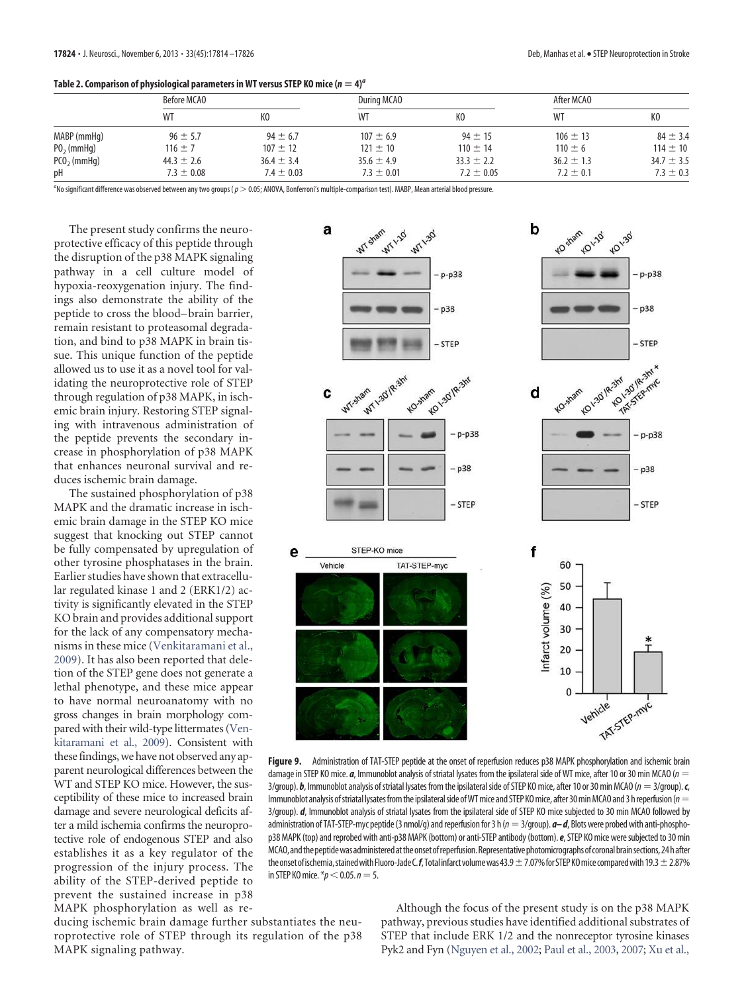|  |  | Table 2. Comparison of physiological parameters in WT versus STEP KO mice ( $n = 4$ ) <sup>a</sup> |  |
|--|--|----------------------------------------------------------------------------------------------------|--|
|  |  |                                                                                                    |  |

|               | Before MCAO    |                | During MCAO    |                | After MCAO     |                |
|---------------|----------------|----------------|----------------|----------------|----------------|----------------|
|               | WT             | KO             | WT             |                | WT             | КO             |
| MABP (mmHg)   | $96 \pm 5.7$   | $94 \pm 6.7$   | $107 \pm 6.9$  | $94 \pm 15$    | $106 \pm 13$   | $84 \pm 3.4$   |
| $P02$ (mmHg)  | $116 \pm 7$    | $107 \pm 12$   | $121 \pm 10$   | $110 \pm 14$   | $110 \pm 6$    | $114 \pm 10$   |
| $PCO2$ (mmHg) | $44.3 \pm 2.6$ | $36.4 \pm 3.4$ | $35.6 \pm 4.9$ | $33.3 \pm 2.2$ | $36.2 \pm 1.3$ | $34.7 \pm 3.5$ |
| pH            | $7.3 \pm 0.08$ | $7.4 \pm 0.03$ | $7.3 \pm 0.01$ | $7.2 \pm 0.05$ | $7.2 \pm 0.1$  | $7.3 \pm 0.3$  |

a No significant difference was observed between any two groups (p 0.05; ANOVA, Bonferroni's multiple-comparison test). MABP, Mean arterial blood pressure.

The present study confirms the neuroprotective efficacy of this peptide through the disruption of the p38 MAPK signaling pathway in a cell culture model of hypoxia-reoxygenation injury. The findings also demonstrate the ability of the peptide to cross the blood– brain barrier, remain resistant to proteasomal degradation, and bind to p38 MAPK in brain tissue. This unique function of the peptide allowed us to use it as a novel tool for validating the neuroprotective role of STEP through regulation of p38 MAPK, in ischemic brain injury. Restoring STEP signaling with intravenous administration of the peptide prevents the secondary increase in phosphorylation of p38 MAPK that enhances neuronal survival and reduces ischemic brain damage.

The sustained phosphorylation of p38 MAPK and the dramatic increase in ischemic brain damage in the STEP KO mice suggest that knocking out STEP cannot be fully compensated by upregulation of other tyrosine phosphatases in the brain. Earlier studies have shown that extracellular regulated kinase 1 and 2 (ERK1/2) activity is significantly elevated in the STEP KO brain and provides additional support for the lack of any compensatory mechanisms in these mice (Venkitaramani et al., 2009). It has also been reported that deletion of the STEP gene does not generate a lethal phenotype, and these mice appear to have normal neuroanatomy with no gross changes in brain morphology compared with their wild-type littermates (Venkitaramani et al., 2009). Consistent with these findings, we have not observed any apparent neurological differences between the WT and STEP KO mice. However, the susceptibility of these mice to increased brain damage and severe neurological deficits after a mild ischemia confirms the neuroprotective role of endogenous STEP and also establishes it as a key regulator of the progression of the injury process. The ability of the STEP-derived peptide to prevent the sustained increase in p38 MAPK phosphorylation as well as re-



**Figure 9.** Administration of TAT-STEP peptide at the onset of reperfusion reduces p38 MAPK phosphorylation and ischemic brain damage in STEP KO mice. *a*, Immunoblot analysis of striatal lysates from the ipsilateral side of WT mice, after 10 or 30 min MCAO (n 3/group). *b*, Immunoblot analysis of striatal lysates from the ipsilateral side of STEP KO mice, after 10 or 30 min MCAO (n 3/group).*c*, Immunoblot analysis of striatal lysates from the ipsilateral side of WT mice and STEP KO mice, after 30 min MCAO and 3 h reperfusion ( $n=$ 3/group). *d*, Immunoblot analysis of striatal lysates from the ipsilateral side of STEP KO mice subjected to 30 min MCAO followed by administration of TAT-STEP-myc peptide (3 nmol/g) and reperfusion for 3 h ( $n = 3$ /group).  $a - d$ , Blots were probed with anti-phosphop38 MAPK (top) and reprobed with anti-p38 MAPK (bottom) or anti-STEP antibody (bottom).*e*, STEP KO mice were subjected to 30 min MCAO,andthepeptidewasadministeredat theonset of reperfusion.Representative photomicrographsof coronal brainsections,24 h after the onset of ischemia, stained with Fluoro-Jade C.*f*, Total infarct volume was 43.9  $\pm$  7.07% for STEP KO mice compared with 19.3  $\pm$  2.87% in STEP KO mice.  $\sqrt[e]{p}$   $<$  0.05.  $n = 5$ .

ducing ischemic brain damage further substantiates the neuroprotective role of STEP through its regulation of the p38 MAPK signaling pathway.

Although the focus of the present study is on the p38 MAPK pathway, previous studies have identified additional substrates of STEP that include ERK 1/2 and the nonreceptor tyrosine kinases Pyk2 and Fyn (Nguyen et al., 2002; Paul et al., 2003, 2007; Xu et al.,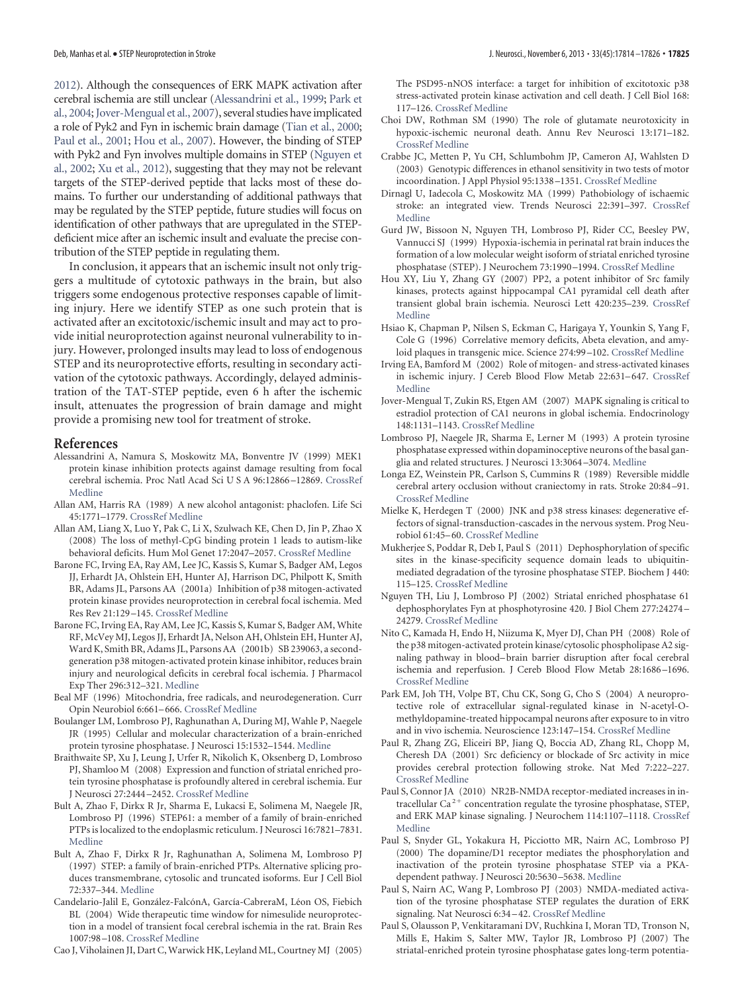2012). Although the consequences of ERK MAPK activation after cerebral ischemia are still unclear (Alessandrini et al., 1999; Park et al., 2004; Jover-Mengual et al., 2007), several studies have implicated a role of Pyk2 and Fyn in ischemic brain damage (Tian et al., 2000; Paul et al., 2001; Hou et al., 2007). However, the binding of STEP with Pyk2 and Fyn involves multiple domains in STEP (Nguyen et al., 2002; Xu et al., 2012), suggesting that they may not be relevant targets of the STEP-derived peptide that lacks most of these domains. To further our understanding of additional pathways that may be regulated by the STEP peptide, future studies will focus on identification of other pathways that are upregulated in the STEPdeficient mice after an ischemic insult and evaluate the precise contribution of the STEP peptide in regulating them.

In conclusion, it appears that an ischemic insult not only triggers a multitude of cytotoxic pathways in the brain, but also triggers some endogenous protective responses capable of limiting injury. Here we identify STEP as one such protein that is activated after an excitotoxic/ischemic insult and may act to provide initial neuroprotection against neuronal vulnerability to injury. However, prolonged insults may lead to loss of endogenous STEP and its neuroprotective efforts, resulting in secondary activation of the cytotoxic pathways. Accordingly, delayed administration of the TAT-STEP peptide, even 6 h after the ischemic insult, attenuates the progression of brain damage and might provide a promising new tool for treatment of stroke.

#### **References**

- Alessandrini A, Namura S, Moskowitz MA, Bonventre JV (1999) MEK1 protein kinase inhibition protects against damage resulting from focal cerebral ischemia. Proc Natl Acad Sci U S A 96:12866 –12869. CrossRef Medline
- Allan AM, Harris RA (1989) A new alcohol antagonist: phaclofen. Life Sci 45:1771–1779. CrossRef Medline
- Allan AM, Liang X, Luo Y, Pak C, Li X, Szulwach KE, Chen D, Jin P, Zhao X (2008) The loss of methyl-CpG binding protein 1 leads to autism-like behavioral deficits. Hum Mol Genet 17:2047–2057. CrossRef Medline
- Barone FC, Irving EA, Ray AM, Lee JC, Kassis S, Kumar S, Badger AM, Legos JJ, Erhardt JA, Ohlstein EH, Hunter AJ, Harrison DC, Philpott K, Smith BR, Adams JL, Parsons AA (2001a) Inhibition of p38 mitogen-activated protein kinase provides neuroprotection in cerebral focal ischemia. Med Res Rev 21:129 –145. CrossRef Medline
- Barone FC, Irving EA, Ray AM, Lee JC, Kassis S, Kumar S, Badger AM, White RF, McVey MJ, Legos JJ, Erhardt JA, Nelson AH, Ohlstein EH, Hunter AJ, Ward K, Smith BR, Adams JL, Parsons AA (2001b) SB 239063, a secondgeneration p38 mitogen-activated protein kinase inhibitor, reduces brain injury and neurological deficits in cerebral focal ischemia. J Pharmacol Exp Ther 296:312–321. Medline
- Beal MF (1996) Mitochondria, free radicals, and neurodegeneration. Curr Opin Neurobiol 6:661– 666. CrossRef Medline
- Boulanger LM, Lombroso PJ, Raghunathan A, During MJ, Wahle P, Naegele JR (1995) Cellular and molecular characterization of a brain-enriched protein tyrosine phosphatase. J Neurosci 15:1532–1544. Medline
- Braithwaite SP, Xu J, Leung J, Urfer R, Nikolich K, Oksenberg D, Lombroso PJ, Shamloo M (2008) Expression and function of striatal enriched protein tyrosine phosphatase is profoundly altered in cerebral ischemia. Eur J Neurosci 27:2444 –2452. CrossRef Medline
- Bult A, Zhao F, Dirkx R Jr, Sharma E, Lukacsi E, Solimena M, Naegele JR, Lombroso PJ (1996) STEP61: a member of a family of brain-enriched PTPs is localized to the endoplasmic reticulum. J Neurosci 16:7821–7831. Medline
- Bult A, Zhao F, Dirkx R Jr, Raghunathan A, Solimena M, Lombroso PJ (1997) STEP: a family of brain-enriched PTPs. Alternative splicing produces transmembrane, cytosolic and truncated isoforms. Eur J Cell Biol 72:337–344. Medline
- Candelario-Jalil E, González-FalcónA, García-CabreraM, Léon OS, Fiebich BL (2004) Wide therapeutic time window for nimesulide neuroprotection in a model of transient focal cerebral ischemia in the rat. Brain Res 1007:98 –108. CrossRef Medline
- Cao J, Viholainen JI, Dart C, Warwick HK, Leyland ML, Courtney MJ (2005)

The PSD95-nNOS interface: a target for inhibition of excitotoxic p38 stress-activated protein kinase activation and cell death. J Cell Biol 168: 117–126. CrossRef Medline

- Choi DW, Rothman SM (1990) The role of glutamate neurotoxicity in hypoxic-ischemic neuronal death. Annu Rev Neurosci 13:171–182. CrossRef Medline
- Crabbe JC, Metten P, Yu CH, Schlumbohm JP, Cameron AJ, Wahlsten D (2003) Genotypic differences in ethanol sensitivity in two tests of motor incoordination. J Appl Physiol 95:1338 –1351. CrossRef Medline
- Dirnagl U, Iadecola C, Moskowitz MA (1999) Pathobiology of ischaemic stroke: an integrated view. Trends Neurosci 22:391–397. CrossRef Medline
- Gurd JW, Bissoon N, Nguyen TH, Lombroso PJ, Rider CC, Beesley PW, Vannucci SJ (1999) Hypoxia-ischemia in perinatal rat brain induces the formation of a low molecular weight isoform of striatal enriched tyrosine phosphatase (STEP). J Neurochem 73:1990 –1994. CrossRef Medline
- Hou XY, Liu Y, Zhang GY (2007) PP2, a potent inhibitor of Src family kinases, protects against hippocampal CA1 pyramidal cell death after transient global brain ischemia. Neurosci Lett 420:235–239. CrossRef Medline
- Hsiao K, Chapman P, Nilsen S, Eckman C, Harigaya Y, Younkin S, Yang F, Cole G (1996) Correlative memory deficits, Abeta elevation, and amyloid plaques in transgenic mice. Science 274:99 –102. CrossRef Medline
- Irving EA, Bamford M (2002) Role of mitogen- and stress-activated kinases in ischemic injury. J Cereb Blood Flow Metab 22:631-647. CrossRef Medline
- Jover-Mengual T, Zukin RS, Etgen AM (2007) MAPK signaling is critical to estradiol protection of CA1 neurons in global ischemia. Endocrinology 148:1131–1143. CrossRef Medline
- Lombroso PJ, Naegele JR, Sharma E, Lerner M (1993) A protein tyrosine phosphatase expressed within dopaminoceptive neurons of the basal ganglia and related structures. J Neurosci 13:3064 –3074. Medline
- Longa EZ, Weinstein PR, Carlson S, Cummins R (1989) Reversible middle cerebral artery occlusion without craniectomy in rats. Stroke 20:84 –91. CrossRef Medline
- Mielke K, Herdegen T (2000) JNK and p38 stress kinases: degenerative effectors of signal-transduction-cascades in the nervous system. Prog Neurobiol 61:45– 60. CrossRef Medline
- Mukherjee S, Poddar R, Deb I, Paul S (2011) Dephosphorylation of specific sites in the kinase-specificity sequence domain leads to ubiquitinmediated degradation of the tyrosine phosphatase STEP. Biochem J 440: 115–125. CrossRef Medline
- Nguyen TH, Liu J, Lombroso PJ (2002) Striatal enriched phosphatase 61 dephosphorylates Fyn at phosphotyrosine 420. J Biol Chem 277:24274 – 24279. CrossRef Medline
- Nito C, Kamada H, Endo H, Niizuma K, Myer DJ, Chan PH (2008) Role of the p38 mitogen-activated protein kinase/cytosolic phospholipase A2 signaling pathway in blood– brain barrier disruption after focal cerebral ischemia and reperfusion. J Cereb Blood Flow Metab 28:1686 –1696. CrossRef Medline
- Park EM, Joh TH, Volpe BT, Chu CK, Song G, Cho S (2004) A neuroprotective role of extracellular signal-regulated kinase in N-acetyl-Omethyldopamine-treated hippocampal neurons after exposure to in vitro and in vivo ischemia. Neuroscience 123:147–154. CrossRef Medline
- Paul R, Zhang ZG, Eliceiri BP, Jiang Q, Boccia AD, Zhang RL, Chopp M, Cheresh DA (2001) Src deficiency or blockade of Src activity in mice provides cerebral protection following stroke. Nat Med 7:222–227. CrossRef Medline
- Paul S, Connor JA (2010) NR2B-NMDA receptor-mediated increases in intracellular Ca <sup>2</sup>- concentration regulate the tyrosine phosphatase, STEP, and ERK MAP kinase signaling. J Neurochem 114:1107–1118. CrossRef Medline
- Paul S, Snyder GL, Yokakura H, Picciotto MR, Nairn AC, Lombroso PJ (2000) The dopamine/D1 receptor mediates the phosphorylation and inactivation of the protein tyrosine phosphatase STEP via a PKAdependent pathway. J Neurosci 20:5630 –5638. Medline
- Paul S, Nairn AC, Wang P, Lombroso PJ (2003) NMDA-mediated activation of the tyrosine phosphatase STEP regulates the duration of ERK signaling. Nat Neurosci 6:34 – 42. CrossRef Medline
- Paul S, Olausson P, Venkitaramani DV, Ruchkina I, Moran TD, Tronson N, Mills E, Hakim S, Salter MW, Taylor JR, Lombroso PJ (2007) The striatal-enriched protein tyrosine phosphatase gates long-term potentia-